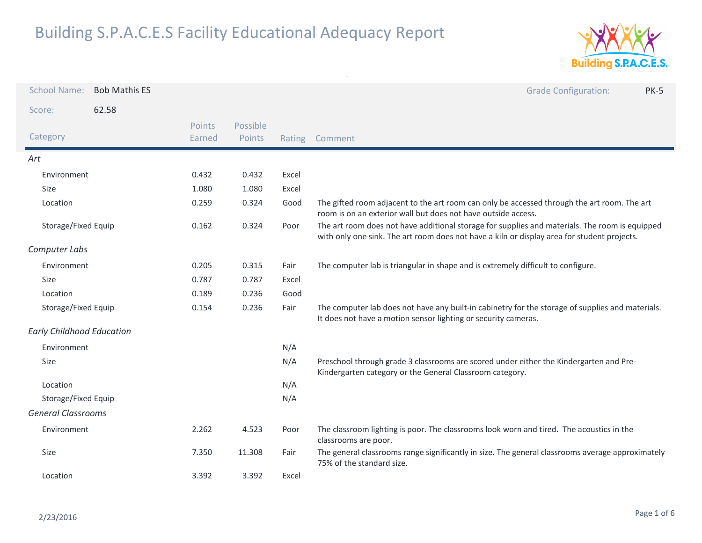

| <b>School Name:</b>              | <b>Bob Mathis ES</b> |                         |                    |       | <b>Grade Configuration:</b><br><b>PK-5</b>                                                                                                                                                    |
|----------------------------------|----------------------|-------------------------|--------------------|-------|-----------------------------------------------------------------------------------------------------------------------------------------------------------------------------------------------|
| Score:                           | 62.58                |                         |                    |       |                                                                                                                                                                                               |
| Category                         |                      | <b>Points</b><br>Earned | Possible<br>Points |       | Rating Comment                                                                                                                                                                                |
| Art                              |                      |                         |                    |       |                                                                                                                                                                                               |
| Environment                      |                      | 0.432                   | 0.432              | Excel |                                                                                                                                                                                               |
| Size                             |                      | 1.080                   | 1.080              | Excel |                                                                                                                                                                                               |
| Location                         |                      | 0.259                   | 0.324              | Good  | The gifted room adjacent to the art room can only be accessed through the art room. The art<br>room is on an exterior wall but does not have outside access.                                  |
| Storage/Fixed Equip              |                      | 0.162                   | 0.324              | Poor  | The art room does not have additional storage for supplies and materials. The room is equipped<br>with only one sink. The art room does not have a kiln or display area for student projects. |
| Computer Labs                    |                      |                         |                    |       |                                                                                                                                                                                               |
| Environment                      |                      | 0.205                   | 0.315              | Fair  | The computer lab is triangular in shape and is extremely difficult to configure.                                                                                                              |
| Size                             |                      | 0.787                   | 0.787              | Excel |                                                                                                                                                                                               |
| Location                         |                      | 0.189                   | 0.236              | Good  |                                                                                                                                                                                               |
| Storage/Fixed Equip              |                      | 0.154                   | 0.236              | Fair  | The computer lab does not have any built-in cabinetry for the storage of supplies and materials.<br>It does not have a motion sensor lighting or security cameras.                            |
| <b>Early Childhood Education</b> |                      |                         |                    |       |                                                                                                                                                                                               |
| Environment                      |                      |                         |                    | N/A   |                                                                                                                                                                                               |
| Size                             |                      |                         |                    | N/A   | Preschool through grade 3 classrooms are scored under either the Kindergarten and Pre-<br>Kindergarten category or the General Classroom category.                                            |
| Location                         |                      |                         |                    | N/A   |                                                                                                                                                                                               |
| Storage/Fixed Equip              |                      |                         |                    | N/A   |                                                                                                                                                                                               |
| <b>General Classrooms</b>        |                      |                         |                    |       |                                                                                                                                                                                               |
| Environment                      |                      | 2.262                   | 4.523              | Poor  | The classroom lighting is poor. The classrooms look worn and tired. The acoustics in the<br>classrooms are poor.                                                                              |
| Size                             |                      | 7.350                   | 11.308             | Fair  | The general classrooms range significantly in size. The general classrooms average approximately<br>75% of the standard size.                                                                 |
| Location                         |                      | 3.392                   | 3.392              | Excel |                                                                                                                                                                                               |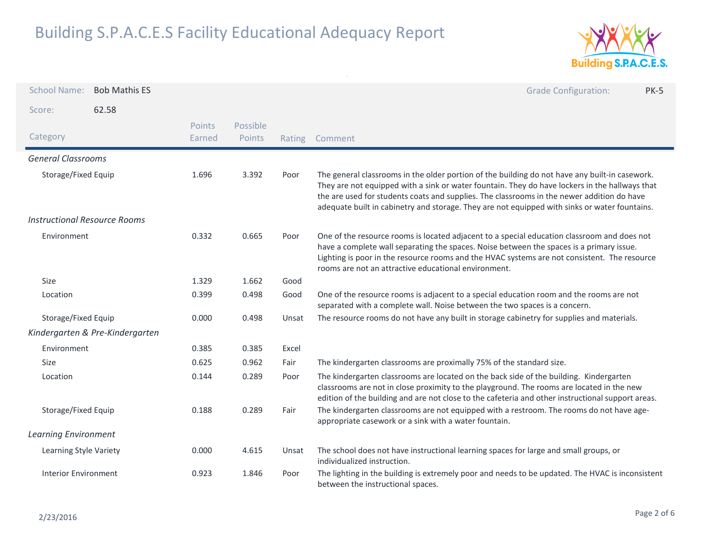

| <b>School Name:</b>                 | <b>Bob Mathis ES</b>            |                  |                    |        | <b>Grade Configuration:</b><br><b>PK-5</b>                                                                                                                                                                                                                                                                                                                                                      |
|-------------------------------------|---------------------------------|------------------|--------------------|--------|-------------------------------------------------------------------------------------------------------------------------------------------------------------------------------------------------------------------------------------------------------------------------------------------------------------------------------------------------------------------------------------------------|
| Score:                              | 62.58                           |                  |                    |        |                                                                                                                                                                                                                                                                                                                                                                                                 |
| Category                            |                                 | Points<br>Earned | Possible<br>Points | Rating | Comment                                                                                                                                                                                                                                                                                                                                                                                         |
| <b>General Classrooms</b>           |                                 |                  |                    |        |                                                                                                                                                                                                                                                                                                                                                                                                 |
| Storage/Fixed Equip                 |                                 | 1.696            | 3.392              | Poor   | The general classrooms in the older portion of the building do not have any built-in casework.<br>They are not equipped with a sink or water fountain. They do have lockers in the hallways that<br>the are used for students coats and supplies. The classrooms in the newer addition do have<br>adequate built in cabinetry and storage. They are not equipped with sinks or water fountains. |
| <b>Instructional Resource Rooms</b> |                                 |                  |                    |        |                                                                                                                                                                                                                                                                                                                                                                                                 |
| Environment                         |                                 | 0.332            | 0.665              | Poor   | One of the resource rooms is located adjacent to a special education classroom and does not<br>have a complete wall separating the spaces. Noise between the spaces is a primary issue.<br>Lighting is poor in the resource rooms and the HVAC systems are not consistent. The resource<br>rooms are not an attractive educational environment.                                                 |
| Size                                |                                 | 1.329            | 1.662              | Good   |                                                                                                                                                                                                                                                                                                                                                                                                 |
| Location                            |                                 | 0.399            | 0.498              | Good   | One of the resource rooms is adjacent to a special education room and the rooms are not<br>separated with a complete wall. Noise between the two spaces is a concern.                                                                                                                                                                                                                           |
| Storage/Fixed Equip                 |                                 | 0.000            | 0.498              | Unsat  | The resource rooms do not have any built in storage cabinetry for supplies and materials.                                                                                                                                                                                                                                                                                                       |
|                                     | Kindergarten & Pre-Kindergarten |                  |                    |        |                                                                                                                                                                                                                                                                                                                                                                                                 |
| Environment                         |                                 | 0.385            | 0.385              | Excel  |                                                                                                                                                                                                                                                                                                                                                                                                 |
| Size                                |                                 | 0.625            | 0.962              | Fair   | The kindergarten classrooms are proximally 75% of the standard size.                                                                                                                                                                                                                                                                                                                            |
| Location                            |                                 | 0.144            | 0.289              | Poor   | The kindergarten classrooms are located on the back side of the building. Kindergarten<br>classrooms are not in close proximity to the playground. The rooms are located in the new<br>edition of the building and are not close to the cafeteria and other instructional support areas.                                                                                                        |
| Storage/Fixed Equip                 |                                 | 0.188            | 0.289              | Fair   | The kindergarten classrooms are not equipped with a restroom. The rooms do not have age-<br>appropriate casework or a sink with a water fountain.                                                                                                                                                                                                                                               |
| <b>Learning Environment</b>         |                                 |                  |                    |        |                                                                                                                                                                                                                                                                                                                                                                                                 |
| Learning Style Variety              |                                 | 0.000            | 4.615              | Unsat  | The school does not have instructional learning spaces for large and small groups, or<br>individualized instruction.                                                                                                                                                                                                                                                                            |
| <b>Interior Environment</b>         |                                 | 0.923            | 1.846              | Poor   | The lighting in the building is extremely poor and needs to be updated. The HVAC is inconsistent<br>between the instructional spaces.                                                                                                                                                                                                                                                           |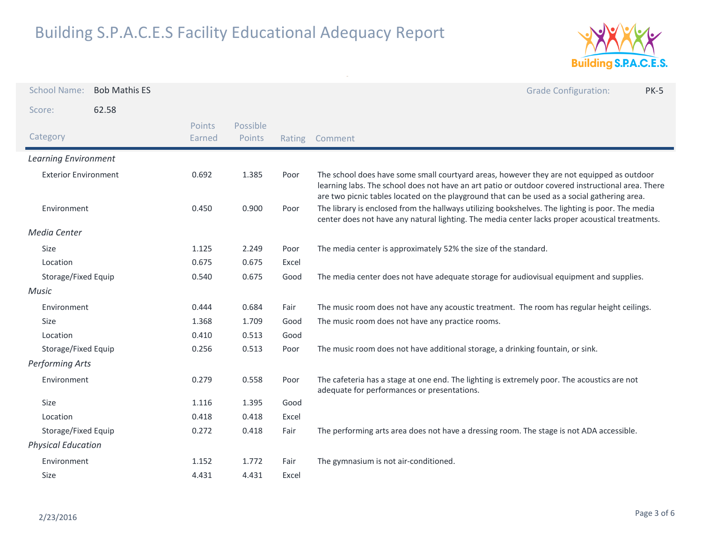

| <b>School Name:</b>         | <b>Bob Mathis ES</b> |                         |                    |        | <b>Grade Configuration:</b><br><b>PK-5</b>                                                                                                                                                                                                                                                     |
|-----------------------------|----------------------|-------------------------|--------------------|--------|------------------------------------------------------------------------------------------------------------------------------------------------------------------------------------------------------------------------------------------------------------------------------------------------|
| Score:                      | 62.58                |                         |                    |        |                                                                                                                                                                                                                                                                                                |
| Category                    |                      | <b>Points</b><br>Earned | Possible<br>Points | Rating | Comment                                                                                                                                                                                                                                                                                        |
| <b>Learning Environment</b> |                      |                         |                    |        |                                                                                                                                                                                                                                                                                                |
| <b>Exterior Environment</b> |                      | 0.692                   | 1.385              | Poor   | The school does have some small courtyard areas, however they are not equipped as outdoor<br>learning labs. The school does not have an art patio or outdoor covered instructional area. There<br>are two picnic tables located on the playground that can be used as a social gathering area. |
| Environment                 |                      | 0.450                   | 0.900              | Poor   | The library is enclosed from the hallways utilizing bookshelves. The lighting is poor. The media<br>center does not have any natural lighting. The media center lacks proper acoustical treatments.                                                                                            |
| <b>Media Center</b>         |                      |                         |                    |        |                                                                                                                                                                                                                                                                                                |
| Size                        |                      | 1.125                   | 2.249              | Poor   | The media center is approximately 52% the size of the standard.                                                                                                                                                                                                                                |
| Location                    |                      | 0.675                   | 0.675              | Excel  |                                                                                                                                                                                                                                                                                                |
| Storage/Fixed Equip         |                      | 0.540                   | 0.675              | Good   | The media center does not have adequate storage for audiovisual equipment and supplies.                                                                                                                                                                                                        |
| Music                       |                      |                         |                    |        |                                                                                                                                                                                                                                                                                                |
| Environment                 |                      | 0.444                   | 0.684              | Fair   | The music room does not have any acoustic treatment. The room has regular height ceilings.                                                                                                                                                                                                     |
| Size                        |                      | 1.368                   | 1.709              | Good   | The music room does not have any practice rooms.                                                                                                                                                                                                                                               |
| Location                    |                      | 0.410                   | 0.513              | Good   |                                                                                                                                                                                                                                                                                                |
| Storage/Fixed Equip         |                      | 0.256                   | 0.513              | Poor   | The music room does not have additional storage, a drinking fountain, or sink.                                                                                                                                                                                                                 |
| Performing Arts             |                      |                         |                    |        |                                                                                                                                                                                                                                                                                                |
| Environment                 |                      | 0.279                   | 0.558              | Poor   | The cafeteria has a stage at one end. The lighting is extremely poor. The acoustics are not<br>adequate for performances or presentations.                                                                                                                                                     |
| Size                        |                      | 1.116                   | 1.395              | Good   |                                                                                                                                                                                                                                                                                                |
| Location                    |                      | 0.418                   | 0.418              | Excel  |                                                                                                                                                                                                                                                                                                |
| Storage/Fixed Equip         |                      | 0.272                   | 0.418              | Fair   | The performing arts area does not have a dressing room. The stage is not ADA accessible.                                                                                                                                                                                                       |
| <b>Physical Education</b>   |                      |                         |                    |        |                                                                                                                                                                                                                                                                                                |
| Environment                 |                      | 1.152                   | 1.772              | Fair   | The gymnasium is not air-conditioned.                                                                                                                                                                                                                                                          |
| <b>Size</b>                 |                      | 4.431                   | 4.431              | Excel  |                                                                                                                                                                                                                                                                                                |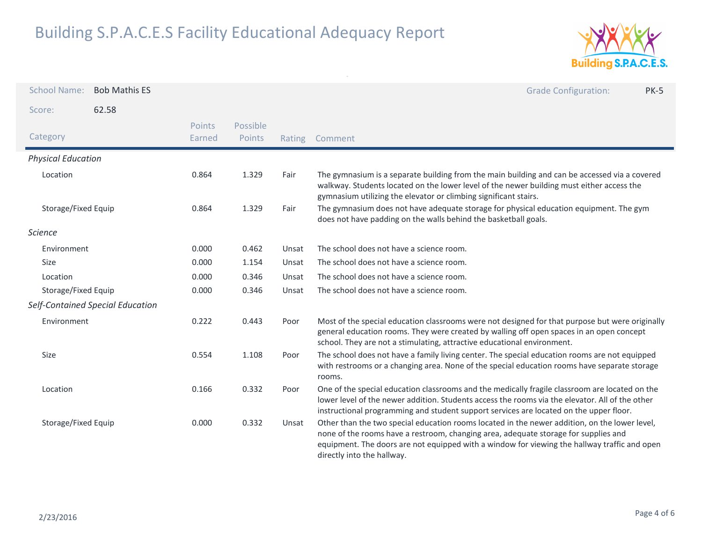

| <b>School Name:</b>       | <b>Bob Mathis ES</b>             |                  |                    |        |                                                                                                                                                                                                                                                                                                                    | <b>Grade Configuration:</b> | <b>PK-5</b> |
|---------------------------|----------------------------------|------------------|--------------------|--------|--------------------------------------------------------------------------------------------------------------------------------------------------------------------------------------------------------------------------------------------------------------------------------------------------------------------|-----------------------------|-------------|
| Score:                    | 62.58                            |                  |                    |        |                                                                                                                                                                                                                                                                                                                    |                             |             |
| Category                  |                                  | Points<br>Earned | Possible<br>Points | Rating | Comment                                                                                                                                                                                                                                                                                                            |                             |             |
| <b>Physical Education</b> |                                  |                  |                    |        |                                                                                                                                                                                                                                                                                                                    |                             |             |
| Location                  |                                  | 0.864            | 1.329              | Fair   | The gymnasium is a separate building from the main building and can be accessed via a covered<br>walkway. Students located on the lower level of the newer building must either access the<br>gymnasium utilizing the elevator or climbing significant stairs.                                                     |                             |             |
| Storage/Fixed Equip       |                                  | 0.864            | 1.329              | Fair   | The gymnasium does not have adequate storage for physical education equipment. The gym<br>does not have padding on the walls behind the basketball goals.                                                                                                                                                          |                             |             |
| <b>Science</b>            |                                  |                  |                    |        |                                                                                                                                                                                                                                                                                                                    |                             |             |
| Environment               |                                  | 0.000            | 0.462              | Unsat  | The school does not have a science room.                                                                                                                                                                                                                                                                           |                             |             |
| Size                      |                                  | 0.000            | 1.154              | Unsat  | The school does not have a science room.                                                                                                                                                                                                                                                                           |                             |             |
| Location                  |                                  | 0.000            | 0.346              | Unsat  | The school does not have a science room.                                                                                                                                                                                                                                                                           |                             |             |
| Storage/Fixed Equip       |                                  | 0.000            | 0.346              | Unsat  | The school does not have a science room.                                                                                                                                                                                                                                                                           |                             |             |
|                           | Self-Contained Special Education |                  |                    |        |                                                                                                                                                                                                                                                                                                                    |                             |             |
| Environment               |                                  | 0.222            | 0.443              | Poor   | Most of the special education classrooms were not designed for that purpose but were originally<br>general education rooms. They were created by walling off open spaces in an open concept<br>school. They are not a stimulating, attractive educational environment.                                             |                             |             |
| Size                      |                                  | 0.554            | 1.108              | Poor   | The school does not have a family living center. The special education rooms are not equipped<br>with restrooms or a changing area. None of the special education rooms have separate storage<br>rooms.                                                                                                            |                             |             |
| Location                  |                                  | 0.166            | 0.332              | Poor   | One of the special education classrooms and the medically fragile classroom are located on the<br>lower level of the newer addition. Students access the rooms via the elevator. All of the other<br>instructional programming and student support services are located on the upper floor.                        |                             |             |
| Storage/Fixed Equip       |                                  | 0.000            | 0.332              | Unsat  | Other than the two special education rooms located in the newer addition, on the lower level,<br>none of the rooms have a restroom, changing area, adequate storage for supplies and<br>equipment. The doors are not equipped with a window for viewing the hallway traffic and open<br>directly into the hallway. |                             |             |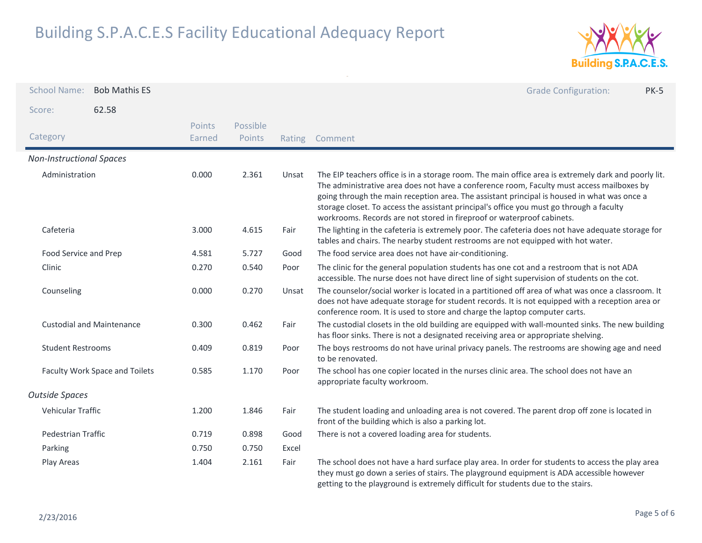

| <b>School Name:</b>              | <b>Bob Mathis ES</b> |                  |                    |        | <b>Grade Configuration:</b><br><b>PK-5</b>                                                                                                                                                                                                                                                                                                                                                                                                                             |
|----------------------------------|----------------------|------------------|--------------------|--------|------------------------------------------------------------------------------------------------------------------------------------------------------------------------------------------------------------------------------------------------------------------------------------------------------------------------------------------------------------------------------------------------------------------------------------------------------------------------|
| Score:                           | 62.58                |                  |                    |        |                                                                                                                                                                                                                                                                                                                                                                                                                                                                        |
| Category                         |                      | Points<br>Earned | Possible<br>Points | Rating | Comment                                                                                                                                                                                                                                                                                                                                                                                                                                                                |
| <b>Non-Instructional Spaces</b>  |                      |                  |                    |        |                                                                                                                                                                                                                                                                                                                                                                                                                                                                        |
| Administration                   |                      | 0.000            | 2.361              | Unsat  | The EIP teachers office is in a storage room. The main office area is extremely dark and poorly lit.<br>The administrative area does not have a conference room, Faculty must access mailboxes by<br>going through the main reception area. The assistant principal is housed in what was once a<br>storage closet. To access the assistant principal's office you must go through a faculty<br>workrooms. Records are not stored in fireproof or waterproof cabinets. |
| Cafeteria                        |                      | 3.000            | 4.615              | Fair   | The lighting in the cafeteria is extremely poor. The cafeteria does not have adequate storage for<br>tables and chairs. The nearby student restrooms are not equipped with hot water.                                                                                                                                                                                                                                                                                  |
| Food Service and Prep            |                      | 4.581            | 5.727              | Good   | The food service area does not have air-conditioning.                                                                                                                                                                                                                                                                                                                                                                                                                  |
| Clinic                           |                      | 0.270            | 0.540              | Poor   | The clinic for the general population students has one cot and a restroom that is not ADA<br>accessible. The nurse does not have direct line of sight supervision of students on the cot.                                                                                                                                                                                                                                                                              |
| Counseling                       |                      | 0.000            | 0.270              | Unsat  | The counselor/social worker is located in a partitioned off area of what was once a classroom. It<br>does not have adequate storage for student records. It is not equipped with a reception area or<br>conference room. It is used to store and charge the laptop computer carts.                                                                                                                                                                                     |
| <b>Custodial and Maintenance</b> |                      | 0.300            | 0.462              | Fair   | The custodial closets in the old building are equipped with wall-mounted sinks. The new building<br>has floor sinks. There is not a designated receiving area or appropriate shelving.                                                                                                                                                                                                                                                                                 |
| <b>Student Restrooms</b>         |                      | 0.409            | 0.819              | Poor   | The boys restrooms do not have urinal privacy panels. The restrooms are showing age and need<br>to be renovated.                                                                                                                                                                                                                                                                                                                                                       |
| Faculty Work Space and Toilets   |                      | 0.585            | 1.170              | Poor   | The school has one copier located in the nurses clinic area. The school does not have an<br>appropriate faculty workroom.                                                                                                                                                                                                                                                                                                                                              |
| <b>Outside Spaces</b>            |                      |                  |                    |        |                                                                                                                                                                                                                                                                                                                                                                                                                                                                        |
| Vehicular Traffic                |                      | 1.200            | 1.846              | Fair   | The student loading and unloading area is not covered. The parent drop off zone is located in<br>front of the building which is also a parking lot.                                                                                                                                                                                                                                                                                                                    |
| Pedestrian Traffic               |                      | 0.719            | 0.898              | Good   | There is not a covered loading area for students.                                                                                                                                                                                                                                                                                                                                                                                                                      |
| Parking                          |                      | 0.750            | 0.750              | Excel  |                                                                                                                                                                                                                                                                                                                                                                                                                                                                        |
| Play Areas                       |                      | 1.404            | 2.161              | Fair   | The school does not have a hard surface play area. In order for students to access the play area<br>they must go down a series of stairs. The playground equipment is ADA accessible however<br>getting to the playground is extremely difficult for students due to the stairs.                                                                                                                                                                                       |